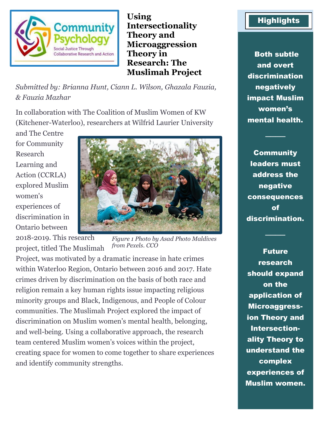

**Using Intersectionality Theory and Microaggression Theory in Research: The Muslimah Project**

*Submitted by: Brianna Hunt, Ciann L. Wilson, Ghazala Fauzia, & Fauzia Mazhar*

In collaboration with The Coalition of Muslim Women of KW (Kitchener-Waterloo), researchers at Wilfrid Laurier University

and The Centre for Community Research Learning and Action (CCRLA) explored Muslim women's experiences of discrimination in Ontario between 2018-2019. This research

project, titled The Muslimah



*Figure 1 Photo by Asad Photo Maldives from Pexels. CCO*

Project, was motivated by a dramatic increase in hate crimes within Waterloo Region, Ontario between 2016 and 2017. Hate crimes driven by discrimination on the basis of both race and religion remain a key human rights issue impacting religious minority groups and Black, Indigenous, and People of Colour communities. The Muslimah Project explored the impact of discrimination on Muslim women's mental health, belonging, and well-being. Using a collaborative approach, the research team centered Muslim women's voices within the project, creating space for women to come together to share experiences and identify community strengths.

## **Highlights**

Both subtle and overt discrimination negatively impact Muslim women's mental health.

**Community** leaders must address the negative consequences of discrimination.

────

────

Future research should expand on the application of Microaggression Theory and Intersectionality Theory to understand the complex experiences of Muslim women.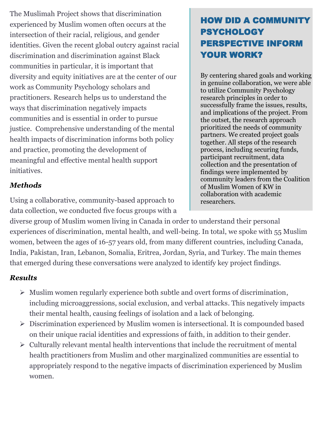The Muslimah Project shows that discrimination experienced by Muslim women often occurs at the intersection of their racial, religious, and gender identities. Given the recent global outcry against racial discrimination and discrimination against Black communities in particular, it is important that diversity and equity initiatives are at the center of our work as Community Psychology scholars and practitioners. Research helps us to understand the ways that discrimination negatively impacts communities and is essential in order to pursue justice. Comprehensive understanding of the mental health impacts of discrimination informs both policy and practice, promoting the development of meaningful and effective mental health support initiatives.

### *Methods*

Using a collaborative, community-based approach to data collection, we conducted five focus groups with a

# HOW DID A COMMUNITY PSYCHOLOGY PERSPECTIVE INFORM YOUR WORK?

By centering shared goals and working in genuine collaboration, we were able to utilize Community Psychology research principles in order to successfully frame the issues, results, and implications of the project. From the outset, the research approach prioritized the needs of community partners. We created project goals together. All steps of the research process, including securing funds, participant recruitment, data collection and the presentation of findings were implemented by community leaders from the Coalition of Muslim Women of KW in collaboration with academic researchers.

diverse group of Muslim women living in Canada in order to understand their personal experiences of discrimination, mental health, and well-being. In total, we spoke with 55 Muslim women, between the ages of 16-57 years old, from many different countries, including Canada, India, Pakistan, Iran, Lebanon, Somalia, Eritrea, Jordan, Syria, and Turkey. The main themes that emerged during these conversations were analyzed to identify key project findings.

## *Results*

- ➢ Muslim women regularly experience both subtle and overt forms of discrimination, including microaggressions, social exclusion, and verbal attacks. This negatively impacts their mental health, causing feelings of isolation and a lack of belonging.
- ➢ Discrimination experienced by Muslim women is intersectional. It is compounded based on their unique racial identities and expressions of faith, in addition to their gender.
- ➢ Culturally relevant mental health interventions that include the recruitment of mental health practitioners from Muslim and other marginalized communities are essential to appropriately respond to the negative impacts of discrimination experienced by Muslim women.